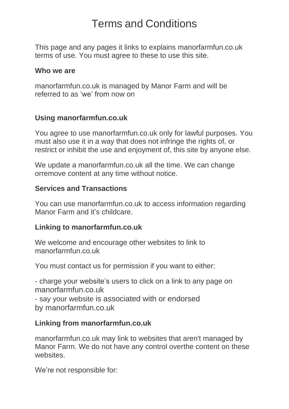This page and any pages it links to explains manorfarmfun.co.uk terms of use. You must agree to these to use this site.

#### **Who we are**

manorfarmfun.co.uk is managed by Manor Farm and will be referred to as 'we' from now on

### **Using manorfarmfun.co.uk**

You agree to use manorfarmfun.co.uk only for lawful purposes. You must also use it in a way that does not infringe the rights of, or restrict or inhibit the use and enjoyment of, this site by anyone else.

We update a manorfarmfun.co.uk all the time. We can change orremove content at any time without notice.

### **Services and Transactions**

You can use manorfarmfun.co.uk to access information regarding Manor Farm and it's childcare.

### **Linking to manorfarmfun.co.uk**

We welcome and encourage other websites to link to manorfarmfun.co.uk

You must contact us for permission if you want to either:

- charge your website's users to click on a link to any page on manorfarmfun.co.uk

- say your website is associated with or endorsed by manorfarmfun.co.uk

### **Linking from manorfarmfun.co.uk**

manorfarmfun.co.uk may link to websites that aren't managed by Manor Farm. We do not have any control overthe content on these websites.

We're not responsible for: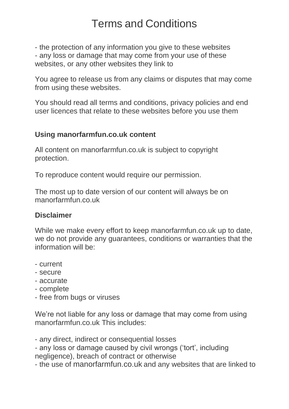- the protection of any information you give to these websites - any loss or damage that may come from your use of these websites, or any other websites they link to

You agree to release us from any claims or disputes that may come from using these websites.

You should read all terms and conditions, privacy policies and end user licences that relate to these websites before you use them

### **Using manorfarmfun.co.uk content**

All content on manorfarmfun.co.uk is subject to copyright protection.

To reproduce content would require our permission.

The most up to date version of our content will always be on manorfarmfun.co.uk

### **Disclaimer**

While we make every effort to keep manorfarmfun.co.uk up to date, we do not provide any guarantees, conditions or warranties that the information will be:

- current
- secure
- accurate
- complete
- free from bugs or viruses

We're not liable for any loss or damage that may come from using manorfarmfun.co.uk This includes:

- any direct, indirect or consequential losses

- any loss or damage caused by civil wrongs ('tort', including negligence), breach of contract or otherwise

- the use of manorfarmfun.co.uk and any websites that are linked to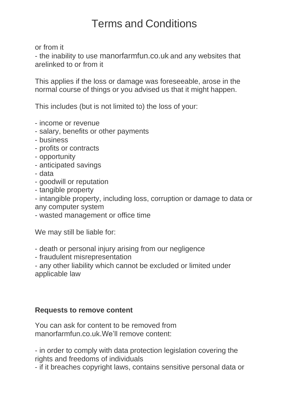or from it

- the inability to use manorfarmfun.co.uk and any websites that arelinked to or from it

This applies if the loss or damage was foreseeable, arose in the normal course of things or you advised us that it might happen.

This includes (but is not limited to) the loss of your:

- income or revenue
- salary, benefits or other payments
- business
- profits or contracts
- opportunity
- anticipated savings
- data
- goodwill or reputation
- tangible property

- intangible property, including loss, corruption or damage to data or any computer system

- wasted management or office time

We may still be liable for:

- death or personal injury arising from our negligence
- fraudulent misrepresentation

- any other liability which cannot be excluded or limited under applicable law

### **Requests to remove content**

You can ask for content to be removed from manorfarmfun.co.uk.We'll remove content:

- in order to comply with data protection legislation covering the rights and freedoms of individuals

- if it breaches copyright laws, contains sensitive personal data or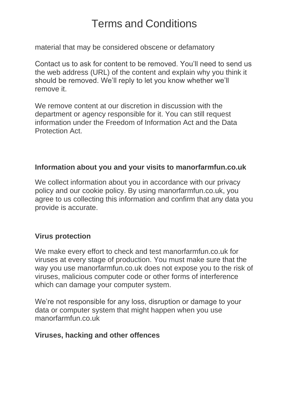material that may be considered obscene or defamatory

Contact us to ask for content to be removed. You'll need to send us the web address (URL) of the content and explain why you think it should be removed. We'll reply to let you know whether we'll remove it.

We remove content at our discretion in discussion with the department or agency responsible for it. You can still request information under the Freedom of Information Act and the Data Protection Act.

### **Information about you and your visits to manorfarmfun.co.uk**

We collect information about you in accordance with our privacy policy and our cookie policy. By using manorfarmfun.co.uk, you agree to us collecting this information and confirm that any data you provide is accurate.

### **Virus protection**

We make every effort to check and test manorfarmfun.co.uk for viruses at every stage of production. You must make sure that the way you use manorfarmfun.co.uk does not expose you to the risk of viruses, malicious computer code or other forms of interference which can damage your computer system.

We're not responsible for any loss, disruption or damage to your data or computer system that might happen when you use manorfarmfun.co.uk

### **Viruses, hacking and other offences**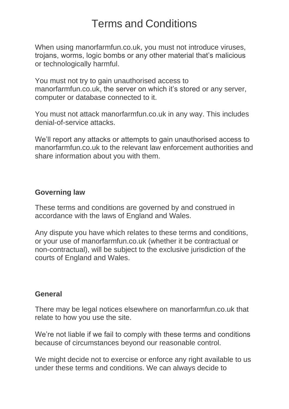When using manorfarmfun.co.uk, you must not introduce viruses, trojans, worms, logic bombs or any other material that's malicious or technologically harmful.

You must not try to gain unauthorised access to manorfarmfun.co.uk, the server on which it's stored or any server, computer or database connected to it.

You must not attack manorfarmfun.co.uk in any way. This includes denial-of-service attacks.

We'll report any attacks or attempts to gain unauthorised access to manorfarmfun.co.uk to the relevant law enforcement authorities and share information about you with them.

### **Governing law**

These terms and conditions are governed by and construed in accordance with the laws of England and Wales.

Any dispute you have which relates to these terms and conditions, or your use of manorfarmfun.co.uk (whether it be contractual or non-contractual), will be subject to the exclusive jurisdiction of the courts of England and Wales.

### **General**

There may be legal notices elsewhere on manorfarmfun.co.uk that relate to how you use the site.

We're not liable if we fail to comply with these terms and conditions because of circumstances beyond our reasonable control.

We might decide not to exercise or enforce any right available to us under these terms and conditions. We can always decide to